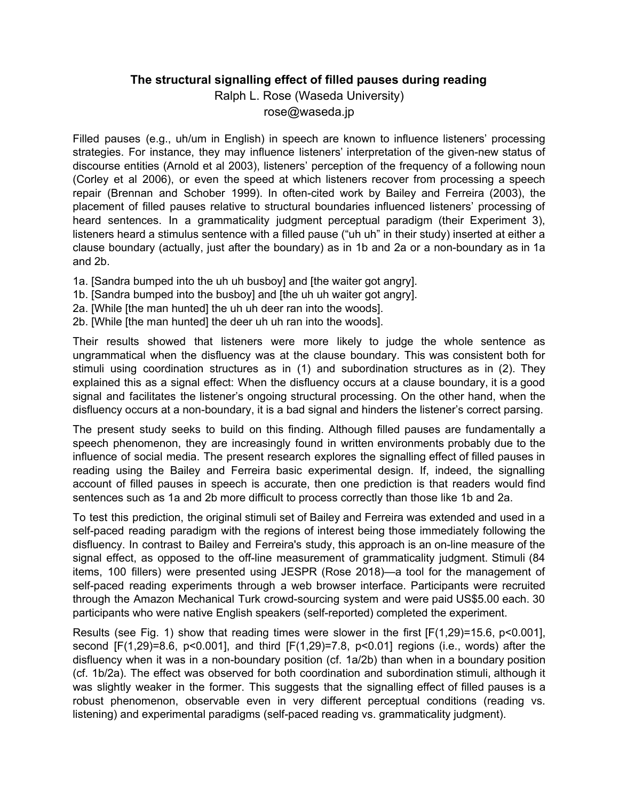## **The structural signalling effect of filled pauses during reading**

Ralph L. Rose (Waseda University)

rose@waseda.jp

Filled pauses (e.g., uh/um in English) in speech are known to influence listeners' processing strategies. For instance, they may influence listeners' interpretation of the given-new status of discourse entities (Arnold et al 2003), listeners' perception of the frequency of a following noun (Corley et al 2006), or even the speed at which listeners recover from processing a speech repair (Brennan and Schober 1999). In often-cited work by Bailey and Ferreira (2003), the placement of filled pauses relative to structural boundaries influenced listeners' processing of heard sentences. In a grammaticality judgment perceptual paradigm (their Experiment 3), listeners heard a stimulus sentence with a filled pause ("uh uh" in their study) inserted at either a clause boundary (actually, just after the boundary) as in 1b and 2a or a non-boundary as in 1a and 2b.

- 1a. [Sandra bumped into the uh uh busboy] and [the waiter got angry].
- 1b. [Sandra bumped into the busboy] and [the uh uh waiter got angry].
- 2a. [While [the man hunted] the uh uh deer ran into the woods].
- 2b. [While [the man hunted] the deer uh uh ran into the woods].

Their results showed that listeners were more likely to judge the whole sentence as ungrammatical when the disfluency was at the clause boundary. This was consistent both for stimuli using coordination structures as in (1) and subordination structures as in (2). They explained this as a signal effect: When the disfluency occurs at a clause boundary, it is a good signal and facilitates the listener's ongoing structural processing. On the other hand, when the disfluency occurs at a non-boundary, it is a bad signal and hinders the listener's correct parsing.

The present study seeks to build on this finding. Although filled pauses are fundamentally a speech phenomenon, they are increasingly found in written environments probably due to the influence of social media. The present research explores the signalling effect of filled pauses in reading using the Bailey and Ferreira basic experimental design. If, indeed, the signalling account of filled pauses in speech is accurate, then one prediction is that readers would find sentences such as 1a and 2b more difficult to process correctly than those like 1b and 2a.

To test this prediction, the original stimuli set of Bailey and Ferreira was extended and used in a self-paced reading paradigm with the regions of interest being those immediately following the disfluency. In contrast to Bailey and Ferreira's study, this approach is an on-line measure of the signal effect, as opposed to the off-line measurement of grammaticality judgment. Stimuli (84 items, 100 fillers) were presented using JESPR (Rose 2018)—a tool for the management of self-paced reading experiments through a web browser interface. Participants were recruited through the Amazon Mechanical Turk crowd-sourcing system and were paid US\$5.00 each. 30 participants who were native English speakers (self-reported) completed the experiment.

Results (see Fig. 1) show that reading times were slower in the first  $[F(1,29)=15.6, p<0.001]$ , second [F(1,29)=8.6, p<0.001], and third [F(1,29)=7.8, p<0.01] regions (i.e., words) after the disfluency when it was in a non-boundary position (cf. 1a/2b) than when in a boundary position (cf. 1b/2a). The effect was observed for both coordination and subordination stimuli, although it was slightly weaker in the former. This suggests that the signalling effect of filled pauses is a robust phenomenon, observable even in very different perceptual conditions (reading vs. listening) and experimental paradigms (self-paced reading vs. grammaticality judgment).